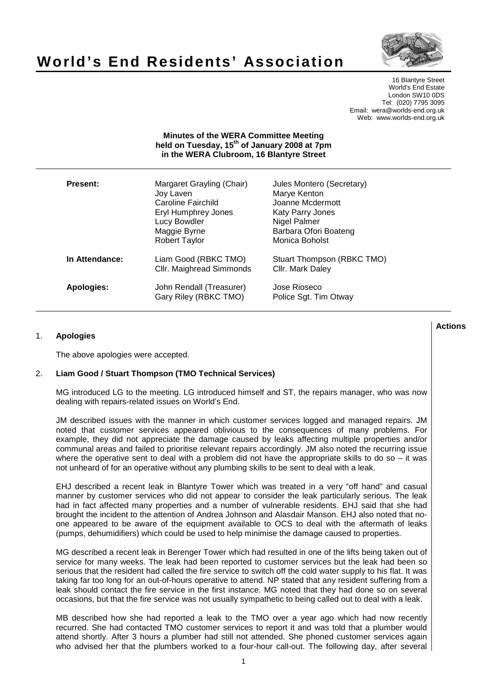# **World's End Residents' Association**



16 Blantyre Street World's End Estate London SW10 0DS Tel: (020) 7795 3095 Email: wera@worlds-end.org.uk Web: www.worlds-end.org.uk

#### **Minutes of the WERA Committee Meeting held on Tuesday, 15th of January 2008 at 7pm in the WERA Clubroom, 16 Blantyre Street**

| Present:       | Margaret Grayling (Chair)<br>Joy Laven<br>Caroline Fairchild<br><b>Eryl Humphrey Jones</b><br>Lucy Bowdler<br>Maggie Byrne<br><b>Robert Taylor</b> | Jules Montero (Secretary)<br>Marye Kenton<br>Joanne Mcdermott<br>Katy Parry Jones<br>Nigel Palmer<br>Barbara Ofori Boateng<br>Monica Boholst |
|----------------|----------------------------------------------------------------------------------------------------------------------------------------------------|----------------------------------------------------------------------------------------------------------------------------------------------|
| In Attendance: | Liam Good (RBKC TMO)<br>Cllr. Maighread Simmonds                                                                                                   | Stuart Thompson (RBKC TMO)<br>Cllr. Mark Daley                                                                                               |
| Apologies:     | John Rendall (Treasurer)<br>Gary Riley (RBKC TMO)                                                                                                  | Jose Rioseco<br>Police Sgt. Tim Otway                                                                                                        |

## 1. **Apologies**

The above apologies were accepted.

#### 2. **Liam Good / Stuart Thompson (TMO Technical Services)**

MG introduced LG to the meeting. LG introduced himself and ST, the repairs manager, who was now dealing with repairs-related issues on World's End.

JM described issues with the manner in which customer services logged and managed repairs. JM noted that customer services appeared oblivious to the consequences of many problems. For example, they did not appreciate the damage caused by leaks affecting multiple properties and/or communal areas and failed to prioritise relevant repairs accordingly. JM also noted the recurring issue where the operative sent to deal with a problem did not have the appropriate skills to do so  $-$  it was not unheard of for an operative without any plumbing skills to be sent to deal with a leak.

EHJ described a recent leak in Blantyre Tower which was treated in a very "off hand" and casual manner by customer services who did not appear to consider the leak particularly serious. The leak had in fact affected many properties and a number of vulnerable residents. EHJ said that she had brought the incident to the attention of Andrea Johnson and Alasdair Manson. EHJ also noted that noone appeared to be aware of the equipment available to OCS to deal with the aftermath of leaks (pumps, dehumidifiers) which could be used to help minimise the damage caused to properties.

MG described a recent leak in Berenger Tower which had resulted in one of the lifts being taken out of service for many weeks. The leak had been reported to customer services but the leak had been so serious that the resident had called the fire service to switch off the cold water supply to his flat. It was taking far too long for an out-of-hours operative to attend. NP stated that any resident suffering from a leak should contact the fire service in the first instance. MG noted that they had done so on several occasions, but that the fire service was not usually sympathetic to being called out to deal with a leak.

MB described how she had reported a leak to the TMO over a year ago which had now recently recurred. She had contacted TMO customer services to report it and was told that a plumber would attend shortly. After 3 hours a plumber had still not attended. She phoned customer services again who advised her that the plumbers worked to a four-hour call-out. The following day, after several

**Lactions のことには、このことにより、このことにより、このことになります。 そのことには、このことにより、このことにより、このことになります。 そのことには、このことにより、このことには、このことにより、このことにより、このことにより、このことにより、このことにより、このことにより、このことにより、このことにより、このことにより、このことにより、このことにより、このことにより、このことにより、このことによっていることになっ**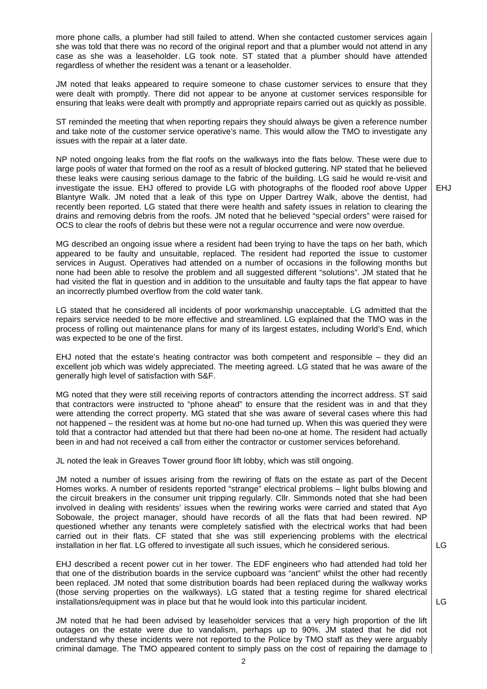more phone calls, a plumber had still failed to attend. When she contacted customer services again she was told that there was no record of the original report and that a plumber would not attend in any case as she was a leaseholder. LG took note. ST stated that a plumber should have attended regardless of whether the resident was a tenant or a leaseholder.

JM noted that leaks appeared to require someone to chase customer services to ensure that they were dealt with promptly. There did not appear to be anyone at customer services responsible for ensuring that leaks were dealt with promptly and appropriate repairs carried out as quickly as possible.

ST reminded the meeting that when reporting repairs they should always be given a reference number and take note of the customer service operative's name. This would allow the TMO to investigate any issues with the repair at a later date.

NP noted ongoing leaks from the flat roofs on the walkways into the flats below. These were due to large pools of water that formed on the roof as a result of blocked guttering. NP stated that he believed these leaks were causing serious damage to the fabric of the building. LG said he would re-visit and investigate the issue. EHJ offered to provide LG with photographs of the flooded roof above Upper Blantyre Walk. JM noted that a leak of this type on Upper Dartrey Walk, above the dentist, had recently been reported. LG stated that there were health and safety issues in relation to clearing the drains and removing debris from the roofs. JM noted that he believed "special orders" were raised for OCS to clear the roofs of debris but these were not a regular occurrence and were now overdue.

MG described an ongoing issue where a resident had been trying to have the taps on her bath, which appeared to be faulty and unsuitable, replaced. The resident had reported the issue to customer services in August. Operatives had attended on a number of occasions in the following months but none had been able to resolve the problem and all suggested different "solutions". JM stated that he had visited the flat in question and in addition to the unsuitable and faulty taps the flat appear to have an incorrectly plumbed overflow from the cold water tank.

LG stated that he considered all incidents of poor workmanship unacceptable. LG admitted that the repairs service needed to be more effective and streamlined. LG explained that the TMO was in the process of rolling out maintenance plans for many of its largest estates, including World's End, which was expected to be one of the first.

EHJ noted that the estate's heating contractor was both competent and responsible – they did an excellent job which was widely appreciated. The meeting agreed. LG stated that he was aware of the generally high level of satisfaction with S&F.

MG noted that they were still receiving reports of contractors attending the incorrect address. ST said that contractors were instructed to "phone ahead" to ensure that the resident was in and that they were attending the correct property. MG stated that she was aware of several cases where this had not happened – the resident was at home but no-one had turned up. When this was queried they were told that a contractor had attended but that there had been no-one at home. The resident had actually been in and had not received a call from either the contractor or customer services beforehand.

JL noted the leak in Greaves Tower ground floor lift lobby, which was still ongoing.

JM noted a number of issues arising from the rewiring of flats on the estate as part of the Decent Homes works. A number of residents reported "strange" electrical problems – light bulbs blowing and the circuit breakers in the consumer unit tripping regularly. Cllr. Simmonds noted that she had been involved in dealing with residents' issues when the rewiring works were carried and stated that Ayo Sobowale, the project manager, should have records of all the flats that had been rewired. NP questioned whether any tenants were completely satisfied with the electrical works that had been carried out in their flats. CF stated that she was still experiencing problems with the electrical installation in her flat. LG offered to investigate all such issues, which he considered serious.

EHJ described a recent power cut in her tower. The EDF engineers who had attended had told her that one of the distribution boards in the service cupboard was "ancient" whilst the other had recently been replaced. JM noted that some distribution boards had been replaced during the walkway works (those serving properties on the walkways). LG stated that a testing regime for shared electrical installations/equipment was in place but that he would look into this particular incident.

JM noted that he had been advised by leaseholder services that a very high proportion of the lift outages on the estate were due to vandalism, perhaps up to 90%. JM stated that he did not understand why these incidents were not reported to the Police by TMO staff as they were arguably criminal damage. The TMO appeared content to simply pass on the cost of repairing the damage to

 $\overline{G}$ 

EHJ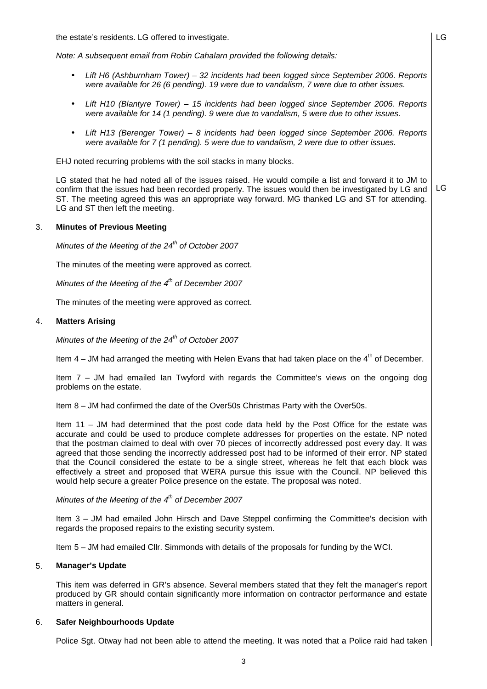the estate's residents. LG offered to investigate.

Note: A subsequent email from Robin Cahalarn provided the following details:

• Lift H6 (Ashburnham Tower) – 32 incidents had been logged since September 2006. Reports were available for 26 (6 pending). 19 were due to vandalism, 7 were due to other issues.

LG

- Lift H10 (Blantyre Tower) 15 incidents had been logged since September 2006. Reports were available for 14 (1 pending). 9 were due to vandalism, 5 were due to other issues.
- Lift H13 (Berenger Tower) 8 incidents had been logged since September 2006. Reports were available for 7 (1 pending). 5 were due to vandalism, 2 were due to other issues.

EHJ noted recurring problems with the soil stacks in many blocks.

LG stated that he had noted all of the issues raised. He would compile a list and forward it to JM to confirm that the issues had been recorded properly. The issues would then be investigated by LG and ST. The meeting agreed this was an appropriate way forward. MG thanked LG and ST for attending. LG and ST then left the meeting. LG

#### 3. **Minutes of Previous Meeting**

Minutes of the Meeting of the  $24^{th}$  of October 2007

The minutes of the meeting were approved as correct.

Minutes of the Meeting of the  $4<sup>th</sup>$  of December 2007

The minutes of the meeting were approved as correct.

## 4. **Matters Arising**

Minutes of the Meeting of the  $24<sup>th</sup>$  of October 2007

Item  $4 - JM$  had arranged the meeting with Helen Evans that had taken place on the  $4<sup>th</sup>$  of December.

Item 7 – JM had emailed Ian Twyford with regards the Committee's views on the ongoing dog problems on the estate.

Item 8 – JM had confirmed the date of the Over50s Christmas Party with the Over50s.

Item 11 – JM had determined that the post code data held by the Post Office for the estate was accurate and could be used to produce complete addresses for properties on the estate. NP noted that the postman claimed to deal with over 70 pieces of incorrectly addressed post every day. It was agreed that those sending the incorrectly addressed post had to be informed of their error. NP stated that the Council considered the estate to be a single street, whereas he felt that each block was effectively a street and proposed that WERA pursue this issue with the Council. NP believed this would help secure a greater Police presence on the estate. The proposal was noted.

## Minutes of the Meeting of the  $4<sup>th</sup>$  of December 2007

Item 3 – JM had emailed John Hirsch and Dave Steppel confirming the Committee's decision with regards the proposed repairs to the existing security system.

Item 5 – JM had emailed Cllr. Simmonds with details of the proposals for funding by the WCI.

#### 5. **Manager's Update**

This item was deferred in GR's absence. Several members stated that they felt the manager's report produced by GR should contain significantly more information on contractor performance and estate matters in general.

#### 6. **Safer Neighbourhoods Update**

Police Sat. Otway had not been able to attend the meeting. It was noted that a Police raid had taken